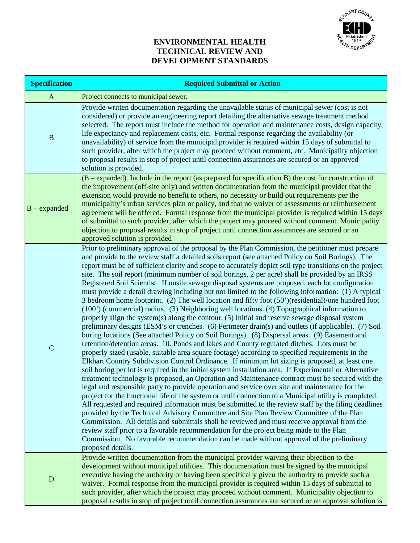

#### **ENVIRONMENTAL HEALTH TECHNICAL REVIEW AND DEVELOPMENT STANDARDS**

| <b>Specification</b> | <b>Required Submittal or Action</b>                                                                                                                                                                                                                                                                                                                                                                                                                                                                                                                                                                                                                                                                                                                                                                                                                                                                                                                                                                                                                                                                                                                                                                                                                                                                                                                                                                                                                                                                                                                                                                                                                                                                                                                                                                                                                                                                                                                                                                                                                                                                                                                                                                                                                                                                                                                                                            |  |  |
|----------------------|------------------------------------------------------------------------------------------------------------------------------------------------------------------------------------------------------------------------------------------------------------------------------------------------------------------------------------------------------------------------------------------------------------------------------------------------------------------------------------------------------------------------------------------------------------------------------------------------------------------------------------------------------------------------------------------------------------------------------------------------------------------------------------------------------------------------------------------------------------------------------------------------------------------------------------------------------------------------------------------------------------------------------------------------------------------------------------------------------------------------------------------------------------------------------------------------------------------------------------------------------------------------------------------------------------------------------------------------------------------------------------------------------------------------------------------------------------------------------------------------------------------------------------------------------------------------------------------------------------------------------------------------------------------------------------------------------------------------------------------------------------------------------------------------------------------------------------------------------------------------------------------------------------------------------------------------------------------------------------------------------------------------------------------------------------------------------------------------------------------------------------------------------------------------------------------------------------------------------------------------------------------------------------------------------------------------------------------------------------------------------------------------|--|--|
| $\mathbf{A}$         | Project connects to municipal sewer.                                                                                                                                                                                                                                                                                                                                                                                                                                                                                                                                                                                                                                                                                                                                                                                                                                                                                                                                                                                                                                                                                                                                                                                                                                                                                                                                                                                                                                                                                                                                                                                                                                                                                                                                                                                                                                                                                                                                                                                                                                                                                                                                                                                                                                                                                                                                                           |  |  |
| $\, {\bf B}$         | Provide written documentation regarding the unavailable status of municipal sewer (cost is not<br>considered) or provide an engineering report detailing the alternative sewage treatment method<br>selected. The report must include the method for operation and maintenance costs, design capacity,<br>life expectancy and replacement costs, etc. Formal response regarding the availability (or<br>unavailability) of service from the municipal provider is required within 15 days of submittal to<br>such provider, after which the project may proceed without comment, etc. Municipality objection<br>to proposal results in stop of project until connection assurances are secured or an approved<br>solution is provided.                                                                                                                                                                                                                                                                                                                                                                                                                                                                                                                                                                                                                                                                                                                                                                                                                                                                                                                                                                                                                                                                                                                                                                                                                                                                                                                                                                                                                                                                                                                                                                                                                                                         |  |  |
| $B$ – expanded       | $(B - expanded)$ . Include in the report (as prepared for specification B) the cost for construction of<br>the improvement (off-site only) and written documentation from the municipal provider that the<br>extension would provide no benefit to others, no necessity or build out requirements per the<br>municipality's urban services plan or policy, and that no waiver of assessments or reimbursement<br>agreement will be offered. Formal response from the municipal provider is required within 15 days<br>of submittal to such provider, after which the project may proceed without comment. Municipality<br>objection to proposal results in stop of project until connection assurances are secured or an<br>approved solution is provided                                                                                                                                                                                                                                                                                                                                                                                                                                                                                                                                                                                                                                                                                                                                                                                                                                                                                                                                                                                                                                                                                                                                                                                                                                                                                                                                                                                                                                                                                                                                                                                                                                      |  |  |
| $\mathbf C$          | Prior to preliminary approval of the proposal by the Plan Commission, the petitioner must prepare<br>and provide to the review staff a detailed soils report (see attached Policy on Soil Borings). The<br>report must be of sufficient clarity and scope to accurately depict soil type transitions on the project<br>site. The soil report (minimum number of soil borings, 2 per acre) shall be provided by an IRSS<br>Registered Soil Scientist. If onsite sewage disposal systems are proposed, each lot configuration<br>must provide a detail drawing including but not limited to the following information: (1) A typical<br>3 bedroom home footprint. (2) The well location and fifty foot (50')(residential)/one hundred foot<br>(100') (commercial) radius. (3) Neighboring well locations. (4) Topographical information to<br>properly align the system(s) along the contour. (5) Initial and reserve sewage disposal system<br>preliminary designs (ESM's or trenches. (6) Perimeter drain(s) and outlets (if applicable). (7) Soil<br>boring locations (See attached Policy on Soil Borings). (8) Dispersal areas. (9) Easement and<br>retention/detention areas. 10. Ponds and lakes and County regulated ditches. Lots must be<br>properly sized (usable, suitable area square footage) according to specified requirements in the<br>Elkhart Country Subdivision Control Ordinance. If minimum lot sizing is proposed, at least one<br>soil boring per lot is required in the initial system installation area. If Experimental or Alternative<br>treatment technology is proposed, an Operation and Maintenance contract must be secured with the<br>legal and responsible party to provide operation and service over site and maintenance for the<br>project for the functional life of the system or until connection to a Municipal utility is completed.<br>All requested and required information must be submitted to the review staff by the filing deadlines<br>provided by the Technical Advisory Committee and Site Plan Review Committee of the Plan<br>Commission. All details and submittals shall be reviewed and must receive approval from the<br>review staff prior to a favorable recommendation for the project being made to the Plan<br>Commission. No favorable recommendation can be made without approval of the preliminary<br>proposed details. |  |  |
| ${\bf D}$            | Provide written documentation from the municipal provider waiving their objection to the<br>development without municipal utilities. This documentation must be signed by the municipal<br>executive having the authority or having been specifically given the authority to provide such a<br>waiver. Formal response from the municipal provider is required within 15 days of submittal to<br>such provider, after which the project may proceed without comment. Municipality objection to<br>proposal results in stop of project until connection assurances are secured or an approval solution is                                                                                                                                                                                                                                                                                                                                                                                                                                                                                                                                                                                                                                                                                                                                                                                                                                                                                                                                                                                                                                                                                                                                                                                                                                                                                                                                                                                                                                                                                                                                                                                                                                                                                                                                                                                       |  |  |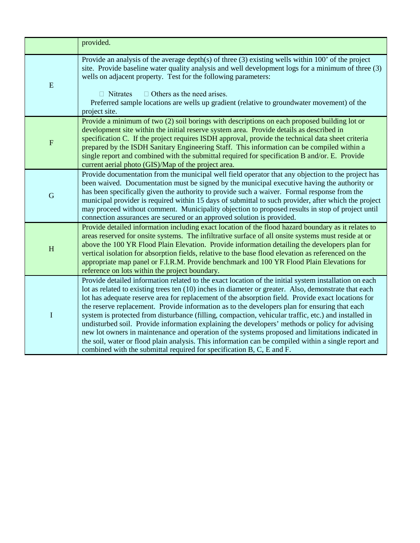|                | provided.                                                                                                                                                                                                                                                                                                                                                                                                                                                                                                                                                                                                                                                                                                                                                                                                                                                                                                            |
|----------------|----------------------------------------------------------------------------------------------------------------------------------------------------------------------------------------------------------------------------------------------------------------------------------------------------------------------------------------------------------------------------------------------------------------------------------------------------------------------------------------------------------------------------------------------------------------------------------------------------------------------------------------------------------------------------------------------------------------------------------------------------------------------------------------------------------------------------------------------------------------------------------------------------------------------|
| E              | Provide an analysis of the average depth(s) of three $(3)$ existing wells within 100' of the project<br>site. Provide baseline water quality analysis and well development logs for a minimum of three (3)<br>wells on adjacent property. Test for the following parameters:<br>$\Box$ Others as the need arises.<br>$\Box$ Nitrates<br>Preferred sample locations are wells up gradient (relative to groundwater movement) of the<br>project site.                                                                                                                                                                                                                                                                                                                                                                                                                                                                  |
| $\overline{F}$ | Provide a minimum of two (2) soil borings with descriptions on each proposed building lot or<br>development site within the initial reserve system area. Provide details as described in<br>specification C. If the project requires ISDH approval, provide the technical data sheet criteria<br>prepared by the ISDH Sanitary Engineering Staff. This information can be compiled within a<br>single report and combined with the submittal required for specification B and/or. E. Provide<br>current aerial photo (GIS)/Map of the project area.                                                                                                                                                                                                                                                                                                                                                                  |
| $\mathbf G$    | Provide documentation from the municipal well field operator that any objection to the project has<br>been waived. Documentation must be signed by the municipal executive having the authority or<br>has been specifically given the authority to provide such a waiver. Formal response from the<br>municipal provider is required within 15 days of submittal to such provider, after which the project<br>may proceed without comment. Municipality objection to proposed results in stop of project until<br>connection assurances are secured or an approved solution is provided.                                                                                                                                                                                                                                                                                                                             |
| H              | Provide detailed information including exact location of the flood hazard boundary as it relates to<br>areas reserved for onsite systems. The infiltrative surface of all onsite systems must reside at or<br>above the 100 YR Flood Plain Elevation. Provide information detailing the developers plan for<br>vertical isolation for absorption fields, relative to the base flood elevation as referenced on the<br>appropriate map panel or F.I.R.M. Provide benchmark and 100 YR Flood Plain Elevations for<br>reference on lots within the project boundary.                                                                                                                                                                                                                                                                                                                                                    |
| $\mathbf I$    | Provide detailed information related to the exact location of the initial system installation on each<br>lot as related to existing trees ten (10) inches in diameter or greater. Also, demonstrate that each<br>lot has adequate reserve area for replacement of the absorption field. Provide exact locations for<br>the reserve replacement. Provide information as to the developers plan for ensuring that each<br>system is protected from disturbance (filling, compaction, vehicular traffic, etc.) and installed in<br>undisturbed soil. Provide information explaining the developers' methods or policy for advising<br>new lot owners in maintenance and operation of the systems proposed and limitations indicated in<br>the soil, water or flood plain analysis. This information can be compiled within a single report and<br>combined with the submittal required for specification B, C, E and F. |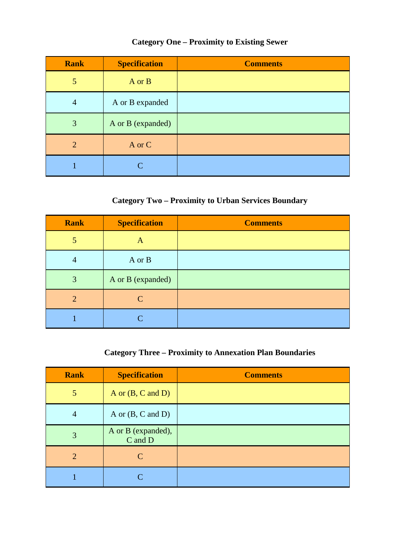### **Category One – Proximity to Existing Sewer**

| <b>Rank</b>    | <b>Specification</b> | <b>Comments</b> |
|----------------|----------------------|-----------------|
| 5              | A or B               |                 |
| $\overline{4}$ | A or B expanded      |                 |
| 3              | A or B (expanded)    |                 |
| $\overline{2}$ | A or C               |                 |
|                | $\subset$            |                 |

### **Category Two – Proximity to Urban Services Boundary**

| <b>Rank</b>    | <b>Specification</b>        | <b>Comments</b> |
|----------------|-----------------------------|-----------------|
| 5              | A                           |                 |
| $\overline{4}$ | A or B                      |                 |
| 3              | A or B (expanded)           |                 |
| 2              | $\mathcal{C}_{\mathcal{C}}$ |                 |
|                |                             |                 |

# **Category Three – Proximity to Annexation Plan Boundaries**

| <b>Rank</b>    | <b>Specification</b>          | <b>Comments</b> |
|----------------|-------------------------------|-----------------|
| 5              | A or $(B, C \text{ and } D)$  |                 |
| $\overline{4}$ | A or $(B, C \text{ and } D)$  |                 |
| 3              | A or B (expanded),<br>C and D |                 |
| $\overline{2}$ | $\mathcal{C}$                 |                 |
|                | $\subset$                     |                 |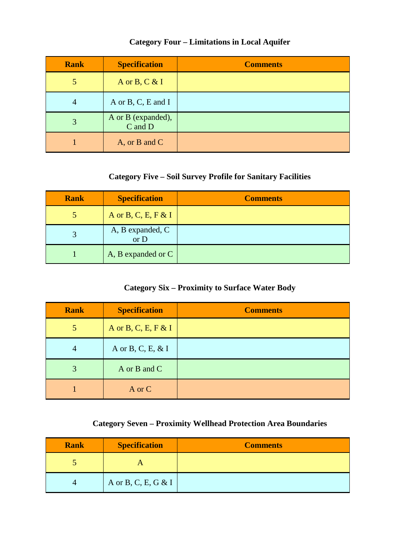### **Category Four – Limitations in Local Aquifer**

| <b>Rank</b>    | <b>Specification</b>          | <b>Comments</b> |
|----------------|-------------------------------|-----------------|
|                | A or B, C & I                 |                 |
| $\overline{4}$ | A or B, C, E and I            |                 |
|                | A or B (expanded),<br>C and D |                 |
|                | A, or B and C                 |                 |

### **Category Five – Soil Survey Profile for Sanitary Facilities**

| <b>Rank</b> | <b>Specification</b>     | <b>Comments</b> |
|-------------|--------------------------|-----------------|
|             | A or B, C, E, F & I      |                 |
|             | A, B expanded, C<br>or D |                 |
|             | A, B expanded or C       |                 |

### **Category Six – Proximity to Surface Water Body**

| <b>Rank</b>    | <b>Specification</b> | <b>Comments</b> |
|----------------|----------------------|-----------------|
| 5              | A or B, C, E, F & I  |                 |
| $\overline{4}$ | A or B, C, E, & I    |                 |
| 3              | A or B and C         |                 |
|                | A or C               |                 |

## **Category Seven – Proximity Wellhead Protection Area Boundaries**

| <b>Rank</b> | <b>Specification</b> | <b>Comments</b> |
|-------------|----------------------|-----------------|
|             |                      |                 |
|             | A or B, C, E, G & I  |                 |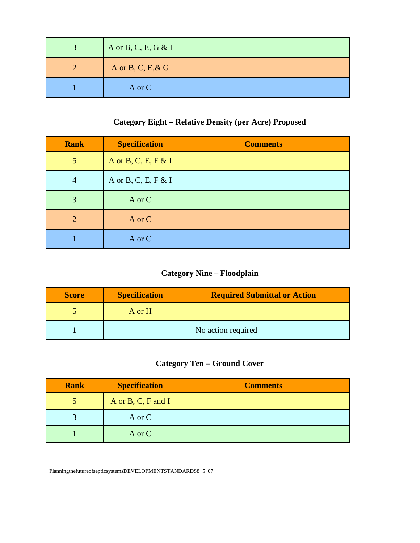| A or B, C, E, G & I |  |
|---------------------|--|
| A or B, C, E, & G   |  |
| A or C              |  |

## **Category Eight – Relative Density (per Acre) Proposed**

| <b>Rank</b>    | <b>Specification</b> | <b>Comments</b> |
|----------------|----------------------|-----------------|
| $\overline{5}$ | A or B, C, E, F & I  |                 |
| $\overline{4}$ | A or B, C, E, F & I  |                 |
| 3              | A or C               |                 |
| 2              | A or C               |                 |
|                | A or C               |                 |

# **Category Nine – Floodplain**

| <b>Score</b> | <b>Specification</b> | <b>Required Submittal or Action</b> |
|--------------|----------------------|-------------------------------------|
|              | A or H               |                                     |
|              | No action required   |                                     |

# **Category Ten – Ground Cover**

| <b>Rank</b> | <b>Specification</b> | <b>Comments</b> |
|-------------|----------------------|-----------------|
|             | A or B, C, F and I   |                 |
|             | A or C               |                 |
|             | A or C               |                 |

PlanningthefutureofsepticsystemsDEVELOPMENTSTANDARDS8\_5\_07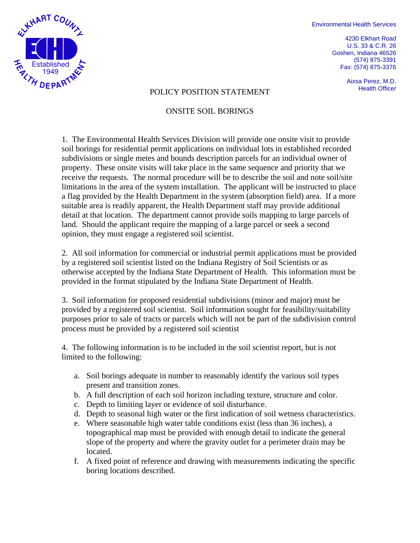Environmental Health Services

4230 Elkhart Road U.S. 33 & C.R. 26 Goshen, Indiana 46526 (574) 875-3391 Fax: (574) 875-3376

Aixsa Perez, M.D.



# POLICY POSITION STATEMENT FOLICY POSITION STATEMENT

#### ONSITE SOIL BORINGS

1. The Environmental Health Services Division will provide one onsite visit to provide soil borings for residential permit applications on individual lots in established recorded subdivisions or single metes and bounds description parcels for an individual owner of property. These onsite visits will take place in the same sequence and priority that we receive the requests. The normal procedure will be to describe the soil and note soil/site limitations in the area of the system installation. The applicant will be instructed to place a flag provided by the Health Department in the system (absorption field) area. If a more suitable area is readily apparent, the Health Department staff may provide additional detail at that location. The department cannot provide soils mapping to large parcels of land. Should the applicant require the mapping of a large parcel or seek a second opinion, they must engage a registered soil scientist.

2. All soil information for commercial or industrial permit applications must be provided by a registered soil scientist listed on the Indiana Registry of Soil Scientists or as otherwise accepted by the Indiana State Department of Health. This information must be provided in the format stipulated by the Indiana State Department of Health.

3. Soil information for proposed residential subdivisions (minor and major) must be provided by a registered soil scientist. Soil information sought for feasibility/suitability purposes prior to sale of tracts or parcels which will not be part of the subdivision control process must be provided by a registered soil scientist

4. The following information is to be included in the soil scientist report, but is not limited to the following:

- a. Soil borings adequate in number to reasonably identify the various soil types present and transition zones.
- b. A full description of each soil horizon including texture, structure and color.
- c. Depth to limiting layer or evidence of soil disturbance.
- d. Depth to seasonal high water or the first indication of soil wetness characteristics.
- e. Where seasonable high water table conditions exist (less than 36 inches), a topographical map must be provided with enough detail to indicate the general slope of the property and where the gravity outlet for a perimeter drain may be located.
- f. A fixed point of reference and drawing with measurements indicating the specific boring locations described.